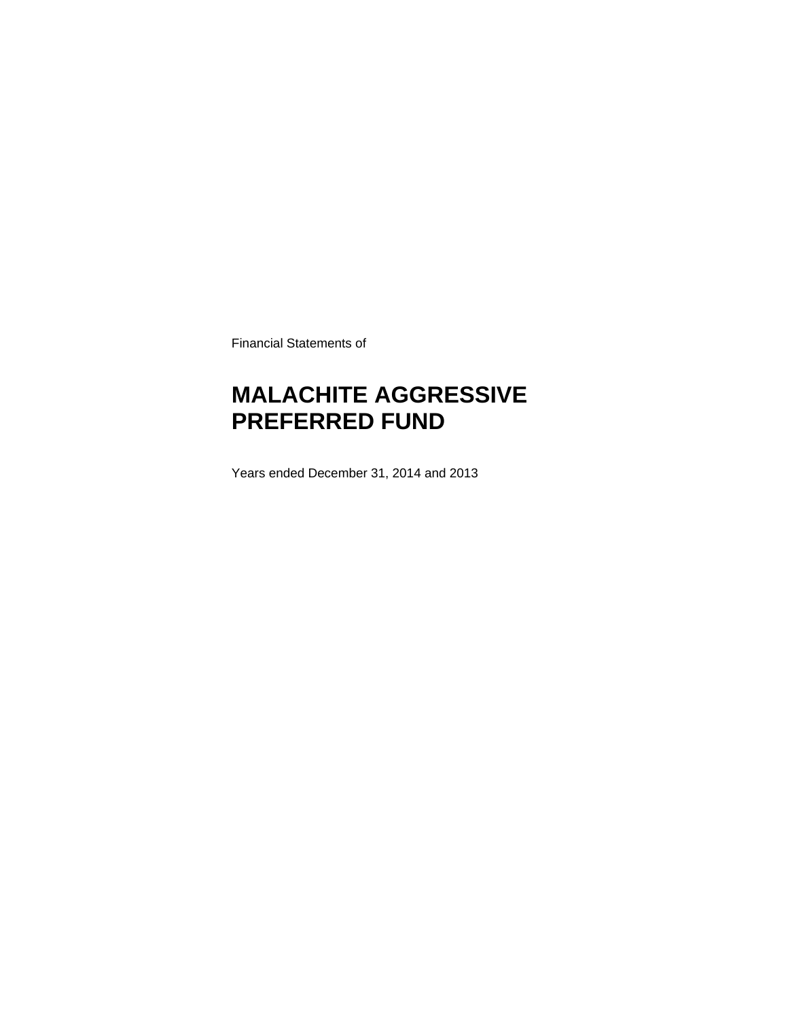Financial Statements of

# **MALACHITE AGGRESSIVE PREFERRED FUND**

Years ended December 31, 2014 and 2013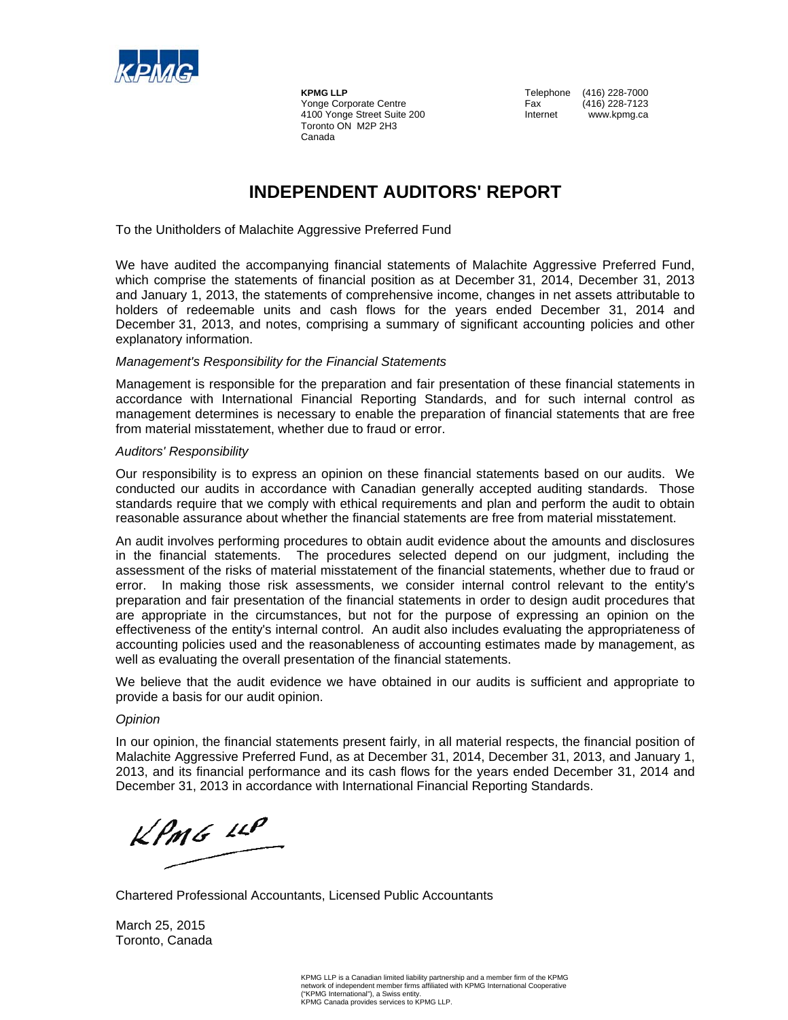

**KPMG LLP**<br>
Yonge Corporate Centre<br>
Yonge Corporate Centre<br>
Tax (416) 228-7123 Yonge Corporate Centre **Fax** Fax 4100 Yonge Street Suite 200 **Internet** www.kpmg.ca Toronto ON M2P 2H3 Canada

### **INDEPENDENT AUDITORS' REPORT**

To the Unitholders of Malachite Aggressive Preferred Fund

We have audited the accompanying financial statements of Malachite Aggressive Preferred Fund, which comprise the statements of financial position as at December 31, 2014, December 31, 2013 and January 1, 2013, the statements of comprehensive income, changes in net assets attributable to holders of redeemable units and cash flows for the years ended December 31, 2014 and December 31, 2013, and notes, comprising a summary of significant accounting policies and other explanatory information.

#### *Management's Responsibility for the Financial Statements*

Management is responsible for the preparation and fair presentation of these financial statements in accordance with International Financial Reporting Standards, and for such internal control as management determines is necessary to enable the preparation of financial statements that are free from material misstatement, whether due to fraud or error.

#### *Auditors' Responsibility*

Our responsibility is to express an opinion on these financial statements based on our audits. We conducted our audits in accordance with Canadian generally accepted auditing standards. Those standards require that we comply with ethical requirements and plan and perform the audit to obtain reasonable assurance about whether the financial statements are free from material misstatement.

An audit involves performing procedures to obtain audit evidence about the amounts and disclosures in the financial statements. The procedures selected depend on our judgment, including the assessment of the risks of material misstatement of the financial statements, whether due to fraud or error. In making those risk assessments, we consider internal control relevant to the entity's preparation and fair presentation of the financial statements in order to design audit procedures that are appropriate in the circumstances, but not for the purpose of expressing an opinion on the effectiveness of the entity's internal control. An audit also includes evaluating the appropriateness of accounting policies used and the reasonableness of accounting estimates made by management, as well as evaluating the overall presentation of the financial statements.

We believe that the audit evidence we have obtained in our audits is sufficient and appropriate to provide a basis for our audit opinion.

#### *Opinion*

In our opinion, the financial statements present fairly, in all material respects, the financial position of Malachite Aggressive Preferred Fund, as at December 31, 2014, December 31, 2013, and January 1, 2013, and its financial performance and its cash flows for the years ended December 31, 2014 and December 31, 2013 in accordance with International Financial Reporting Standards.

 $kPm6$  14P

Chartered Professional Accountants, Licensed Public Accountants

March 25, 2015 Toronto, Canada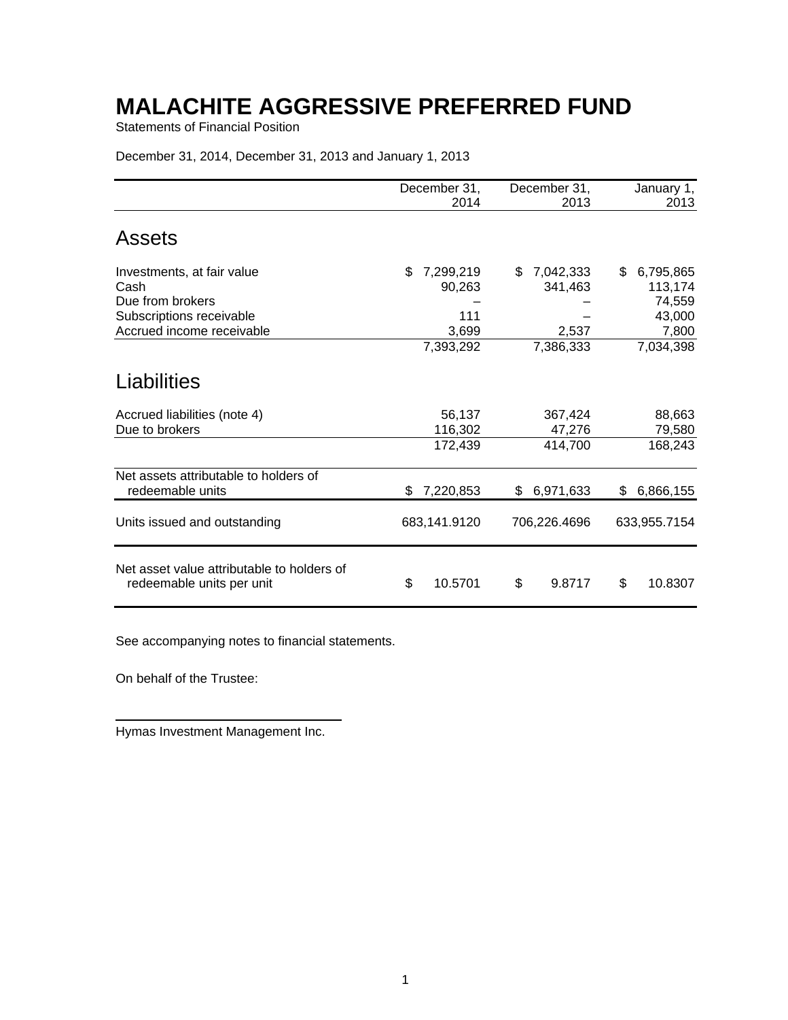Statements of Financial Position

December 31, 2014, December 31, 2013 and January 1, 2013

|                                                                         | December 31,<br>2014         | December 31,<br>2013         | January 1,<br>2013                    |
|-------------------------------------------------------------------------|------------------------------|------------------------------|---------------------------------------|
| <b>Assets</b>                                                           |                              |                              |                                       |
| Investments, at fair value<br>Cash<br>Due from brokers                  | 7,299,219<br>\$<br>90,263    | 7,042,333<br>S<br>341,463    | 6,795,865<br>\$.<br>113,174<br>74,559 |
| Subscriptions receivable<br>Accrued income receivable                   | 111<br>3,699                 | 2,537                        | 43,000<br>7,800                       |
|                                                                         | 7,393,292                    | 7,386,333                    | 7,034,398                             |
| Liabilities                                                             |                              |                              |                                       |
| Accrued liabilities (note 4)<br>Due to brokers                          | 56,137<br>116,302<br>172,439 | 367,424<br>47,276<br>414,700 | 88,663<br>79,580<br>168,243           |
| Net assets attributable to holders of<br>redeemable units               | 7,220,853<br>\$              | 6,971,633<br>\$              | 6,866,155<br>\$.                      |
| Units issued and outstanding                                            | 683,141.9120                 | 706,226.4696                 | 633,955.7154                          |
| Net asset value attributable to holders of<br>redeemable units per unit | \$<br>10.5701                | \$<br>9.8717                 | 10.8307<br>\$                         |

See accompanying notes to financial statements.

On behalf of the Trustee:

Hymas Investment Management Inc.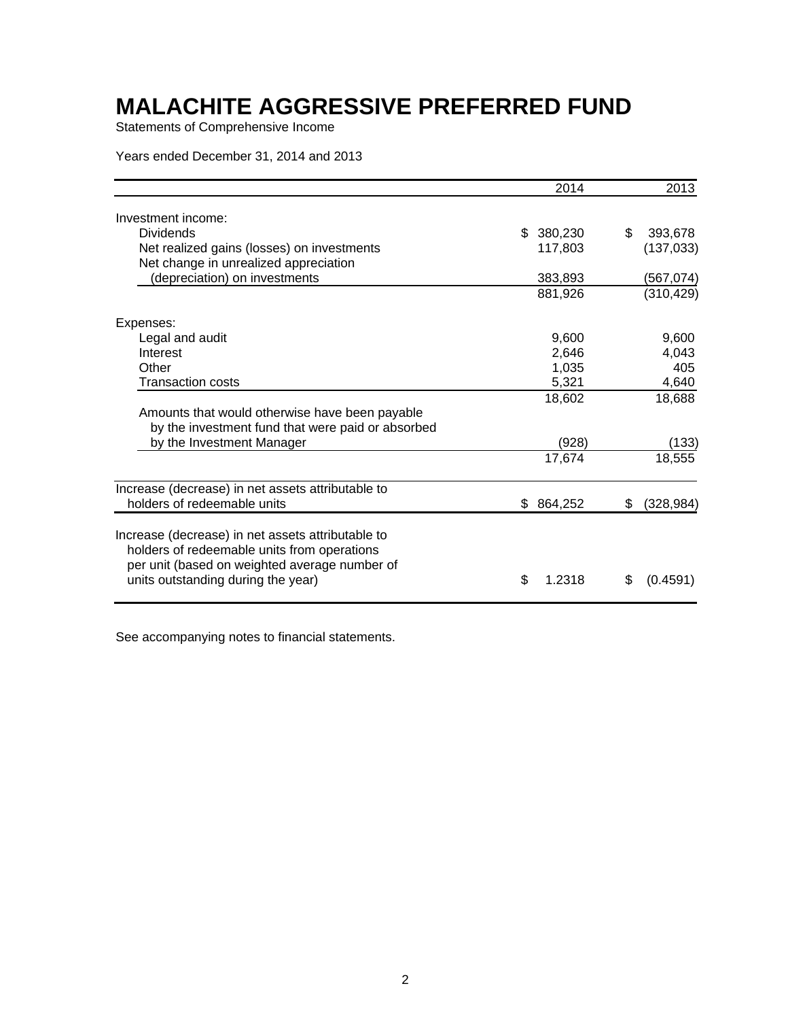Statements of Comprehensive Income

Years ended December 31, 2014 and 2013

|                                                                                                                                                                                         | 2014           | 2013           |
|-----------------------------------------------------------------------------------------------------------------------------------------------------------------------------------------|----------------|----------------|
| Investment income:                                                                                                                                                                      |                |                |
| <b>Dividends</b>                                                                                                                                                                        | \$<br>380,230  | \$<br>393,678  |
| Net realized gains (losses) on investments                                                                                                                                              | 117,803        | (137, 033)     |
| Net change in unrealized appreciation                                                                                                                                                   |                |                |
| (depreciation) on investments                                                                                                                                                           | 383,893        | (567,074)      |
|                                                                                                                                                                                         | 881,926        | (310, 429)     |
| Expenses:                                                                                                                                                                               |                |                |
| Legal and audit                                                                                                                                                                         | 9,600          | 9,600          |
| Interest                                                                                                                                                                                | 2,646          | 4,043          |
| Other                                                                                                                                                                                   | 1,035          | 405            |
| Transaction costs                                                                                                                                                                       | 5,321          | 4,640          |
|                                                                                                                                                                                         | 18,602         | 18,688         |
| Amounts that would otherwise have been payable                                                                                                                                          |                |                |
| by the investment fund that were paid or absorbed                                                                                                                                       |                |                |
| by the Investment Manager                                                                                                                                                               | (928)          | (133)          |
|                                                                                                                                                                                         | 17,674         | 18,555         |
| Increase (decrease) in net assets attributable to                                                                                                                                       |                |                |
| holders of redeemable units                                                                                                                                                             | 864,252<br>\$. | (328,984)<br>S |
| Increase (decrease) in net assets attributable to<br>holders of redeemable units from operations<br>per unit (based on weighted average number of<br>units outstanding during the year) | \$<br>1.2318   | \$<br>(0.4591) |
|                                                                                                                                                                                         |                |                |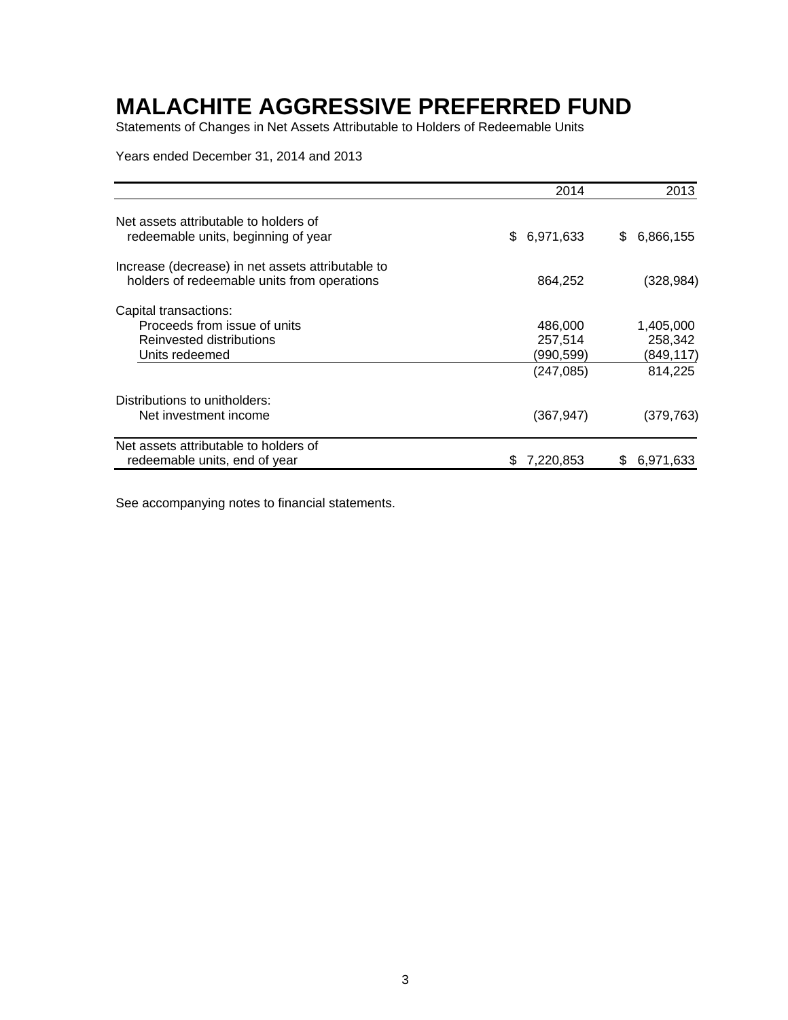Statements of Changes in Net Assets Attributable to Holders of Redeemable Units

Years ended December 31, 2014 and 2013

|                                                                                                  | 2014             | 2013           |
|--------------------------------------------------------------------------------------------------|------------------|----------------|
| Net assets attributable to holders of<br>redeemable units, beginning of year                     | 6,971,633<br>\$. | 6,866,155<br>S |
| Increase (decrease) in net assets attributable to<br>holders of redeemable units from operations | 864,252          | (328,984)      |
| Capital transactions:                                                                            |                  |                |
| Proceeds from issue of units                                                                     | 486,000          | 1,405,000      |
| Reinvested distributions                                                                         | 257,514          | 258,342        |
| Units redeemed                                                                                   | (990,599)        | (849,117)      |
|                                                                                                  | (247,085)        | 814,225        |
| Distributions to unitholders:                                                                    |                  |                |
| Net investment income                                                                            | (367,947)        | (379,763)      |
| Net assets attributable to holders of                                                            |                  |                |
| redeemable units, end of year                                                                    | 7,220,853<br>S   | 6,971,633<br>S |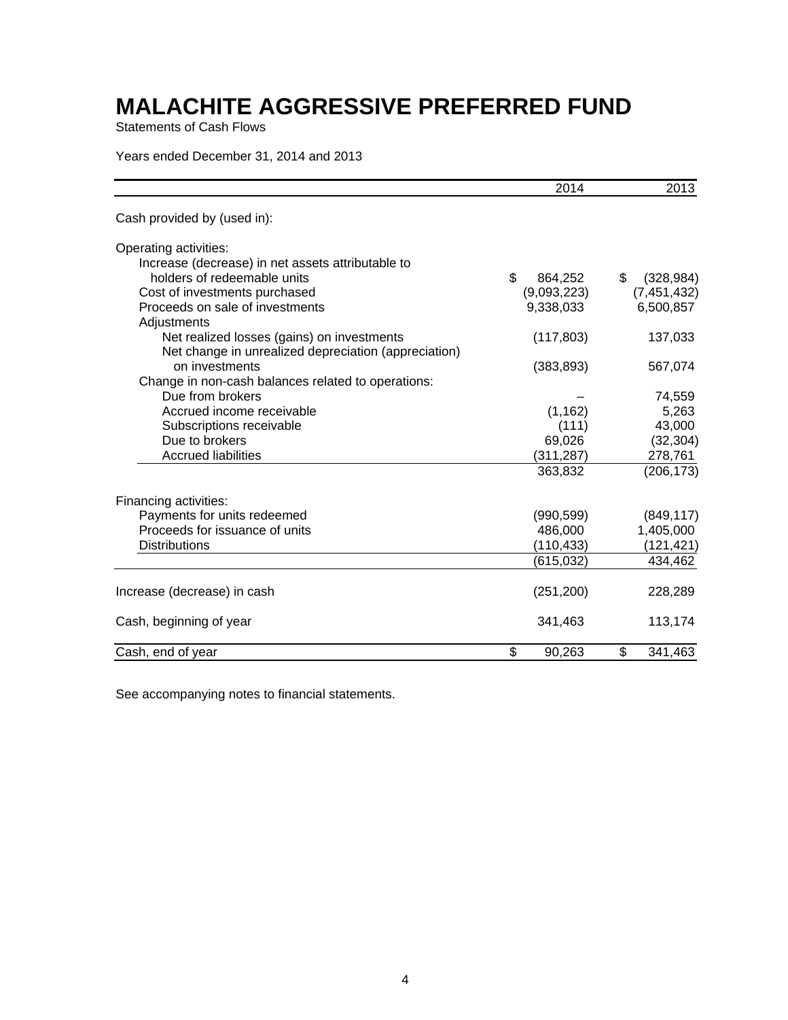Statements of Cash Flows

### Years ended December 31, 2014 and 2013

|                                                      | 2014          | 2013             |
|------------------------------------------------------|---------------|------------------|
| Cash provided by (used in):                          |               |                  |
| Operating activities:                                |               |                  |
| Increase (decrease) in net assets attributable to    |               |                  |
| holders of redeemable units                          | \$<br>864,252 | \$<br>(328, 984) |
| Cost of investments purchased                        | (9,093,223)   | (7, 451, 432)    |
| Proceeds on sale of investments                      | 9,338,033     | 6,500,857        |
| Adjustments                                          |               |                  |
| Net realized losses (gains) on investments           | (117, 803)    | 137,033          |
| Net change in unrealized depreciation (appreciation) |               |                  |
| on investments                                       | (383, 893)    | 567,074          |
| Change in non-cash balances related to operations:   |               |                  |
| Due from brokers                                     |               | 74,559           |
| Accrued income receivable                            | (1, 162)      | 5,263            |
| Subscriptions receivable                             | (111)         | 43,000           |
| Due to brokers                                       | 69,026        | (32, 304)        |
| <b>Accrued liabilities</b>                           | (311,287)     | 278,761          |
|                                                      | 363,832       | (206, 173)       |
| Financing activities:                                |               |                  |
| Payments for units redeemed                          | (990, 599)    | (849, 117)       |
| Proceeds for issuance of units                       | 486,000       | 1,405,000        |
| <b>Distributions</b>                                 | (110, 433)    | (121, 421)       |
|                                                      | (615, 032)    | 434,462          |
| Increase (decrease) in cash                          | (251, 200)    | 228,289          |
| Cash, beginning of year                              | 341,463       | 113,174          |
| Cash, end of year                                    | \$<br>90,263  | \$<br>341,463    |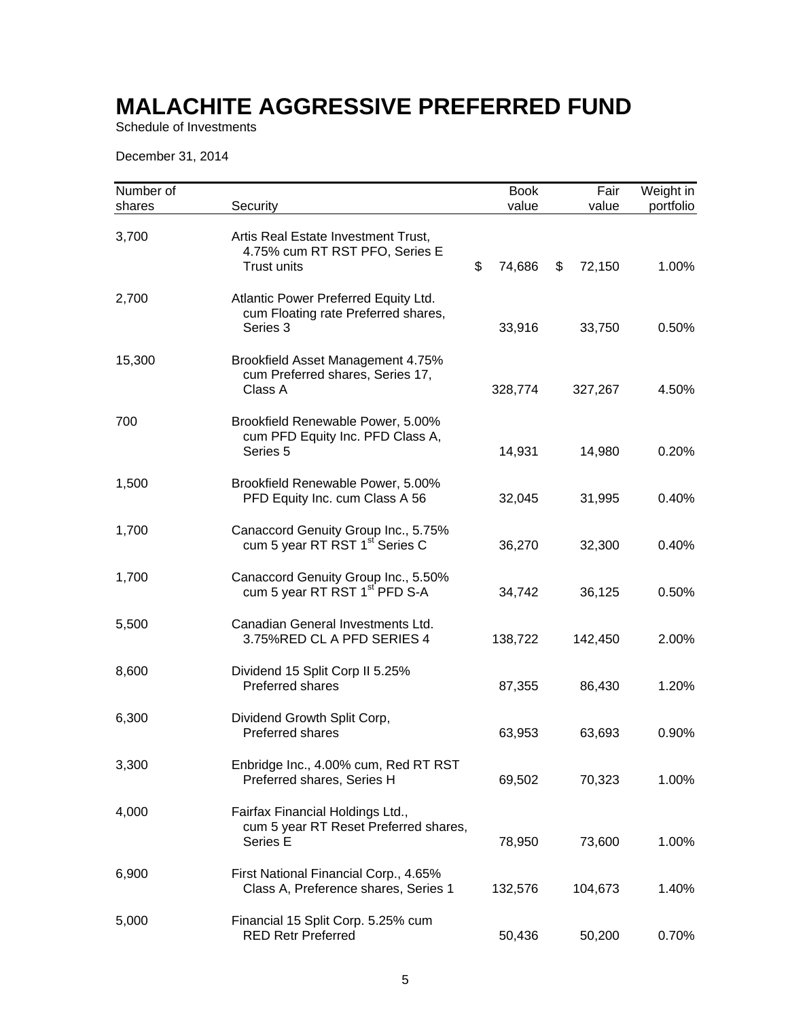Schedule of Investments

December 31, 2014

| Number of<br>shares | Security                                                                                    | <b>Book</b><br>value | Fair<br>value | Weight in<br>portfolio |
|---------------------|---------------------------------------------------------------------------------------------|----------------------|---------------|------------------------|
| 3,700               | Artis Real Estate Investment Trust,<br>4.75% cum RT RST PFO, Series E<br><b>Trust units</b> | \$<br>74,686         | \$<br>72,150  | 1.00%                  |
| 2,700               | Atlantic Power Preferred Equity Ltd.<br>cum Floating rate Preferred shares,<br>Series 3     | 33,916               | 33,750        | 0.50%                  |
| 15,300              | Brookfield Asset Management 4.75%<br>cum Preferred shares, Series 17,<br>Class A            | 328,774              | 327,267       | 4.50%                  |
| 700                 | Brookfield Renewable Power, 5.00%<br>cum PFD Equity Inc. PFD Class A,<br>Series 5           | 14,931               | 14,980        | 0.20%                  |
| 1,500               | Brookfield Renewable Power, 5.00%<br>PFD Equity Inc. cum Class A 56                         | 32,045               | 31,995        | 0.40%                  |
| 1,700               | Canaccord Genuity Group Inc., 5.75%<br>cum 5 year RT RST 1 <sup>st</sup> Series C           | 36,270               | 32,300        | 0.40%                  |
| 1,700               | Canaccord Genuity Group Inc., 5.50%<br>cum 5 year RT RST 1 <sup>st</sup> PFD S-A            | 34,742               | 36,125        | 0.50%                  |
| 5,500               | Canadian General Investments Ltd.<br>3.75%RED CL A PFD SERIES 4                             | 138,722              | 142,450       | 2.00%                  |
| 8,600               | Dividend 15 Split Corp II 5.25%<br>Preferred shares                                         | 87,355               | 86,430        | 1.20%                  |
| 6,300               | Dividend Growth Split Corp,<br><b>Preferred shares</b>                                      | 63,953               | 63,693        | 0.90%                  |
| 3,300               | Enbridge Inc., 4.00% cum, Red RT RST<br>Preferred shares, Series H                          | 69,502               | 70,323        | 1.00%                  |
| 4,000               | Fairfax Financial Holdings Ltd.,<br>cum 5 year RT Reset Preferred shares,<br>Series E       | 78,950               | 73,600        | 1.00%                  |
| 6,900               | First National Financial Corp., 4.65%<br>Class A, Preference shares, Series 1               | 132,576              | 104,673       | 1.40%                  |
| 5,000               | Financial 15 Split Corp. 5.25% cum<br><b>RED Retr Preferred</b>                             | 50,436               | 50,200        | 0.70%                  |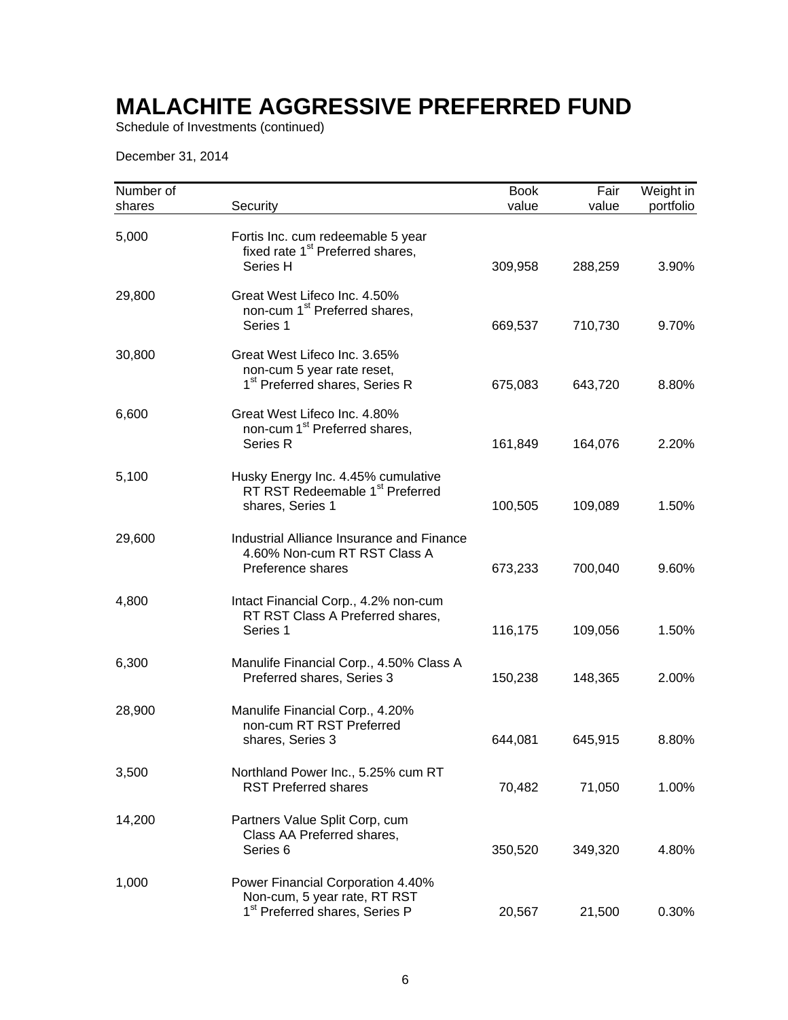Schedule of Investments (continued)

December 31, 2014

| Number of<br>shares | Security                                                                                                        | <b>Book</b><br>value | Fair<br>value | Weight in<br>portfolio |
|---------------------|-----------------------------------------------------------------------------------------------------------------|----------------------|---------------|------------------------|
| 5,000               | Fortis Inc. cum redeemable 5 year<br>fixed rate 1 <sup>st</sup> Preferred shares,<br>Series H                   | 309,958              | 288,259       | 3.90%                  |
| 29,800              | Great West Lifeco Inc. 4.50%<br>non-cum 1 <sup>st</sup> Preferred shares,<br>Series 1                           | 669,537              | 710,730       | 9.70%                  |
| 30,800              | Great West Lifeco Inc. 3.65%<br>non-cum 5 year rate reset,<br>1 <sup>st</sup> Preferred shares, Series R        | 675,083              | 643,720       | 8.80%                  |
| 6,600               | Great West Lifeco Inc. 4.80%<br>non-cum 1 <sup>st</sup> Preferred shares,<br>Series R                           | 161,849              | 164,076       | 2.20%                  |
| 5,100               | Husky Energy Inc. 4.45% cumulative<br>RT RST Redeemable 1 <sup>st</sup> Preferred<br>shares, Series 1           | 100,505              | 109,089       | 1.50%                  |
| 29,600              | Industrial Alliance Insurance and Finance<br>4.60% Non-cum RT RST Class A<br>Preference shares                  | 673,233              | 700,040       | 9.60%                  |
| 4,800               | Intact Financial Corp., 4.2% non-cum<br>RT RST Class A Preferred shares,<br>Series 1                            | 116,175              | 109,056       | 1.50%                  |
| 6,300               | Manulife Financial Corp., 4.50% Class A<br>Preferred shares, Series 3                                           | 150,238              | 148,365       | 2.00%                  |
| 28,900              | Manulife Financial Corp., 4.20%<br>non-cum RT RST Preferred<br>shares, Series 3                                 | 644,081              | 645,915       | 8.80%                  |
| 3,500               | Northland Power Inc., 5.25% cum RT<br><b>RST Preferred shares</b>                                               | 70,482               | 71,050        | 1.00%                  |
| 14,200              | Partners Value Split Corp, cum<br>Class AA Preferred shares,<br>Series <sub>6</sub>                             | 350,520              | 349,320       | 4.80%                  |
| 1,000               | Power Financial Corporation 4.40%<br>Non-cum, 5 year rate, RT RST<br>1 <sup>st</sup> Preferred shares, Series P | 20,567               | 21,500        | 0.30%                  |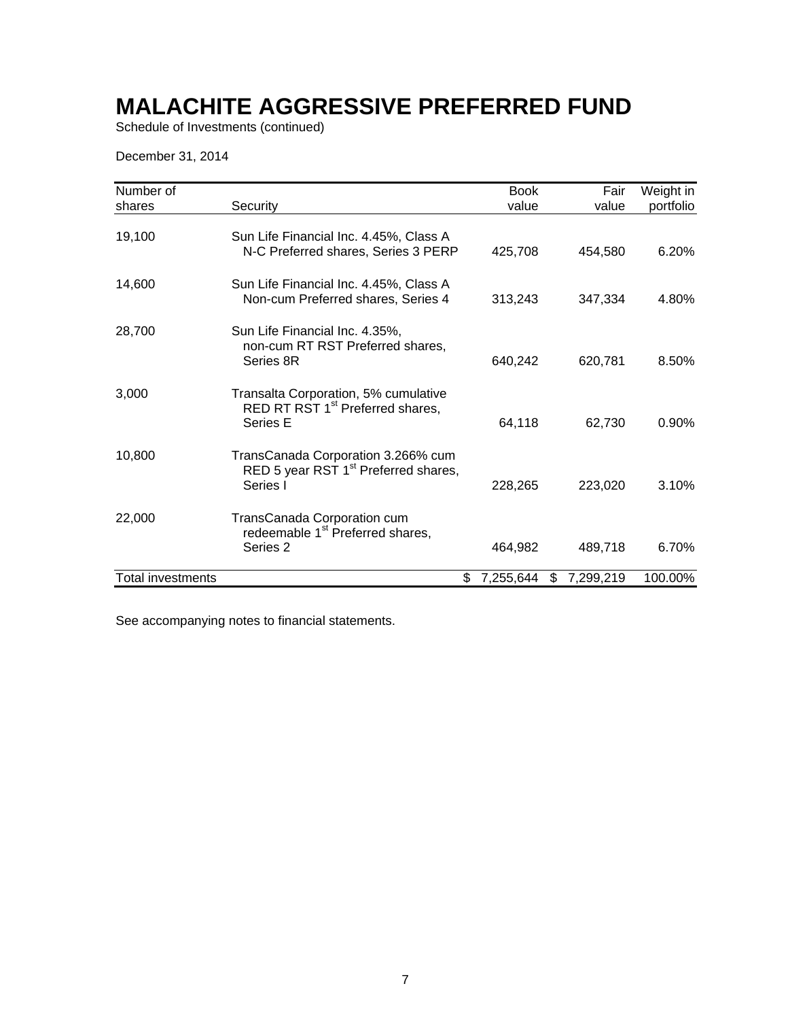Schedule of Investments (continued)

December 31, 2014

| Number of         |                                                                                                    | <b>Book</b>     | Fair            | Weight in |
|-------------------|----------------------------------------------------------------------------------------------------|-----------------|-----------------|-----------|
| shares            | Security                                                                                           | value           | value           | portfolio |
| 19,100            | Sun Life Financial Inc. 4.45%, Class A<br>N-C Preferred shares, Series 3 PERP                      | 425,708         | 454,580         | 6.20%     |
| 14,600            | Sun Life Financial Inc. 4.45%, Class A<br>Non-cum Preferred shares, Series 4                       | 313,243         | 347,334         | 4.80%     |
| 28,700            | Sun Life Financial Inc. 4.35%,<br>non-cum RT RST Preferred shares,<br>Series 8R                    | 640,242         | 620,781         | 8.50%     |
| 3,000             | Transalta Corporation, 5% cumulative<br>RED RT RST 1 <sup>st</sup> Preferred shares,<br>Series E   | 64,118          | 62,730          | 0.90%     |
| 10,800            | TransCanada Corporation 3.266% cum<br>RED 5 year RST 1 <sup>st</sup> Preferred shares,<br>Series I | 228,265         | 223,020         | 3.10%     |
| 22,000            | TransCanada Corporation cum<br>redeemable 1 <sup>st</sup> Preferred shares,<br>Series 2            | 464,982         | 489,718         | 6.70%     |
| Total investments |                                                                                                    | \$<br>7,255,644 | \$<br>7,299,219 | 100.00%   |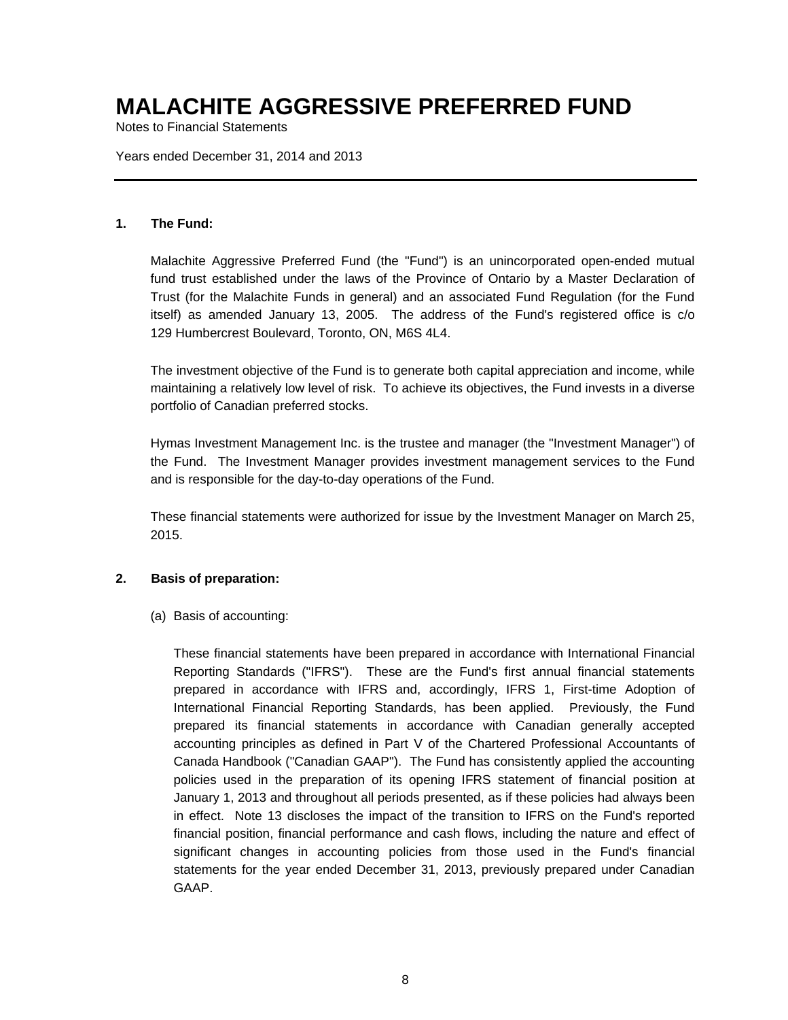Notes to Financial Statements

Years ended December 31, 2014 and 2013

### **1. The Fund:**

Malachite Aggressive Preferred Fund (the "Fund") is an unincorporated open-ended mutual fund trust established under the laws of the Province of Ontario by a Master Declaration of Trust (for the Malachite Funds in general) and an associated Fund Regulation (for the Fund itself) as amended January 13, 2005. The address of the Fund's registered office is c/o 129 Humbercrest Boulevard, Toronto, ON, M6S 4L4.

The investment objective of the Fund is to generate both capital appreciation and income, while maintaining a relatively low level of risk. To achieve its objectives, the Fund invests in a diverse portfolio of Canadian preferred stocks.

Hymas Investment Management Inc. is the trustee and manager (the "Investment Manager") of the Fund. The Investment Manager provides investment management services to the Fund and is responsible for the day-to-day operations of the Fund.

These financial statements were authorized for issue by the Investment Manager on March 25, 2015.

### **2. Basis of preparation:**

(a) Basis of accounting:

These financial statements have been prepared in accordance with International Financial Reporting Standards ("IFRS"). These are the Fund's first annual financial statements prepared in accordance with IFRS and, accordingly, IFRS 1, First-time Adoption of International Financial Reporting Standards, has been applied. Previously, the Fund prepared its financial statements in accordance with Canadian generally accepted accounting principles as defined in Part V of the Chartered Professional Accountants of Canada Handbook ("Canadian GAAP"). The Fund has consistently applied the accounting policies used in the preparation of its opening IFRS statement of financial position at January 1, 2013 and throughout all periods presented, as if these policies had always been in effect. Note 13 discloses the impact of the transition to IFRS on the Fund's reported financial position, financial performance and cash flows, including the nature and effect of significant changes in accounting policies from those used in the Fund's financial statements for the year ended December 31, 2013, previously prepared under Canadian GAAP.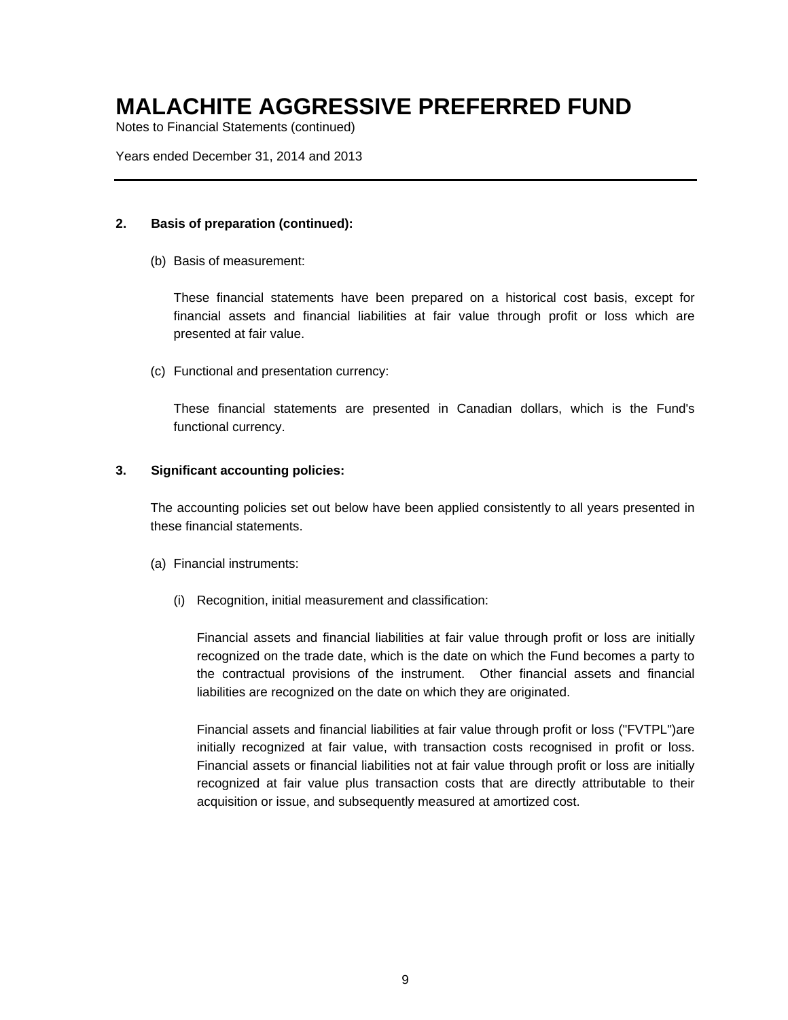Notes to Financial Statements (continued)

Years ended December 31, 2014 and 2013

### **2. Basis of preparation (continued):**

(b) Basis of measurement:

These financial statements have been prepared on a historical cost basis, except for financial assets and financial liabilities at fair value through profit or loss which are presented at fair value.

(c) Functional and presentation currency:

These financial statements are presented in Canadian dollars, which is the Fund's functional currency.

### **3. Significant accounting policies:**

The accounting policies set out below have been applied consistently to all years presented in these financial statements.

- (a) Financial instruments:
	- (i) Recognition, initial measurement and classification:

Financial assets and financial liabilities at fair value through profit or loss are initially recognized on the trade date, which is the date on which the Fund becomes a party to the contractual provisions of the instrument. Other financial assets and financial liabilities are recognized on the date on which they are originated.

Financial assets and financial liabilities at fair value through profit or loss ("FVTPL")are initially recognized at fair value, with transaction costs recognised in profit or loss. Financial assets or financial liabilities not at fair value through profit or loss are initially recognized at fair value plus transaction costs that are directly attributable to their acquisition or issue, and subsequently measured at amortized cost.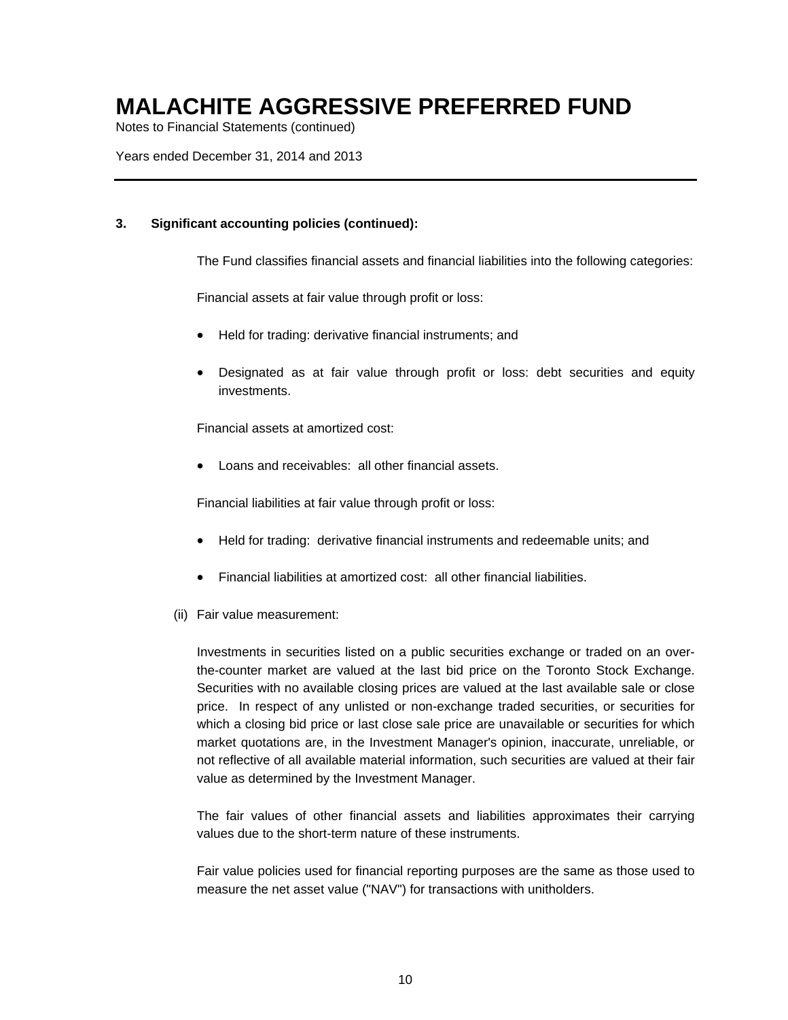Notes to Financial Statements (continued)

Years ended December 31, 2014 and 2013

### **3. Significant accounting policies (continued):**

The Fund classifies financial assets and financial liabilities into the following categories:

Financial assets at fair value through profit or loss:

- Held for trading: derivative financial instruments; and
- Designated as at fair value through profit or loss: debt securities and equity investments.

Financial assets at amortized cost:

Loans and receivables: all other financial assets.

Financial liabilities at fair value through profit or loss:

- Held for trading: derivative financial instruments and redeemable units; and
- Financial liabilities at amortized cost: all other financial liabilities.
- (ii) Fair value measurement:

Investments in securities listed on a public securities exchange or traded on an overthe-counter market are valued at the last bid price on the Toronto Stock Exchange. Securities with no available closing prices are valued at the last available sale or close price. In respect of any unlisted or non-exchange traded securities, or securities for which a closing bid price or last close sale price are unavailable or securities for which market quotations are, in the Investment Manager's opinion, inaccurate, unreliable, or not reflective of all available material information, such securities are valued at their fair value as determined by the Investment Manager.

The fair values of other financial assets and liabilities approximates their carrying values due to the short-term nature of these instruments.

Fair value policies used for financial reporting purposes are the same as those used to measure the net asset value ("NAV") for transactions with unitholders.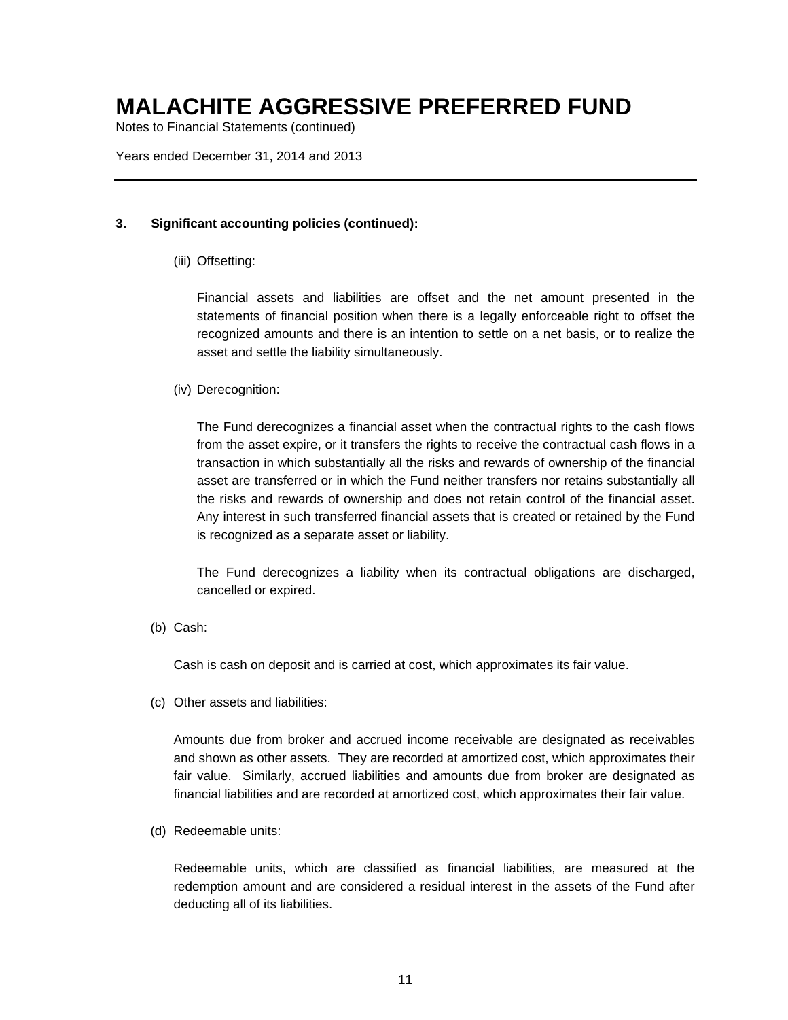Notes to Financial Statements (continued)

Years ended December 31, 2014 and 2013

### **3. Significant accounting policies (continued):**

### (iii) Offsetting:

Financial assets and liabilities are offset and the net amount presented in the statements of financial position when there is a legally enforceable right to offset the recognized amounts and there is an intention to settle on a net basis, or to realize the asset and settle the liability simultaneously.

### (iv) Derecognition:

The Fund derecognizes a financial asset when the contractual rights to the cash flows from the asset expire, or it transfers the rights to receive the contractual cash flows in a transaction in which substantially all the risks and rewards of ownership of the financial asset are transferred or in which the Fund neither transfers nor retains substantially all the risks and rewards of ownership and does not retain control of the financial asset. Any interest in such transferred financial assets that is created or retained by the Fund is recognized as a separate asset or liability.

The Fund derecognizes a liability when its contractual obligations are discharged, cancelled or expired.

(b) Cash:

Cash is cash on deposit and is carried at cost, which approximates its fair value.

(c) Other assets and liabilities:

Amounts due from broker and accrued income receivable are designated as receivables and shown as other assets. They are recorded at amortized cost, which approximates their fair value. Similarly, accrued liabilities and amounts due from broker are designated as financial liabilities and are recorded at amortized cost, which approximates their fair value.

(d) Redeemable units:

Redeemable units, which are classified as financial liabilities, are measured at the redemption amount and are considered a residual interest in the assets of the Fund after deducting all of its liabilities.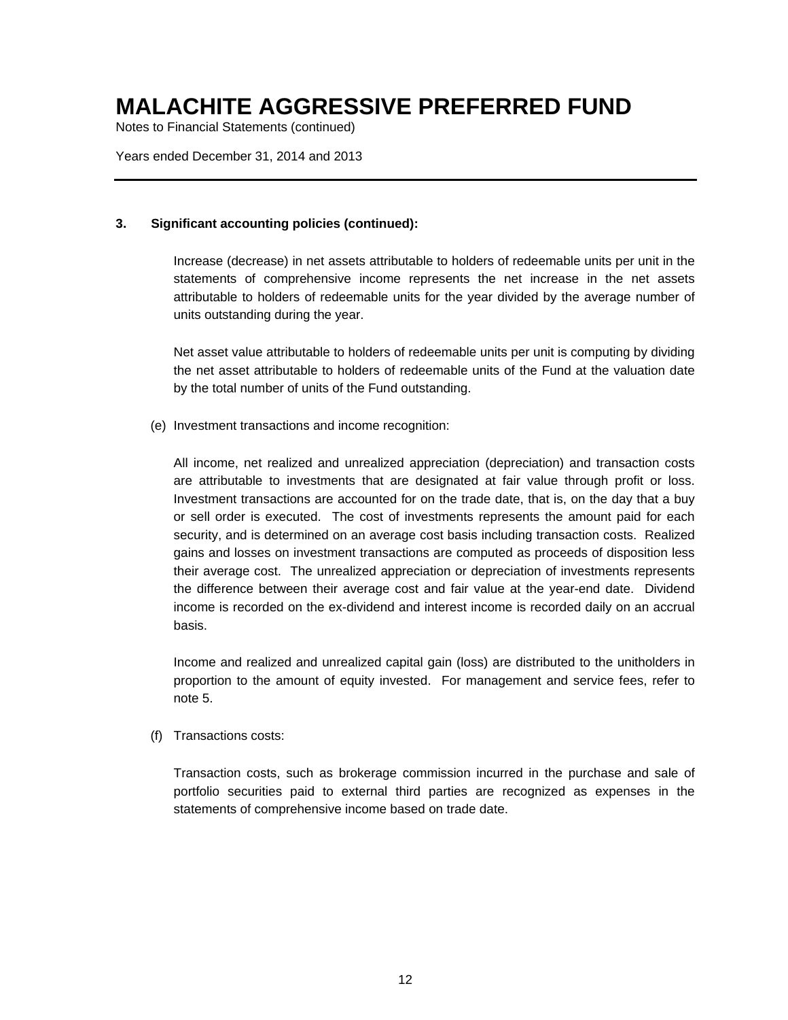Notes to Financial Statements (continued)

Years ended December 31, 2014 and 2013

### **3. Significant accounting policies (continued):**

Increase (decrease) in net assets attributable to holders of redeemable units per unit in the statements of comprehensive income represents the net increase in the net assets attributable to holders of redeemable units for the year divided by the average number of units outstanding during the year.

Net asset value attributable to holders of redeemable units per unit is computing by dividing the net asset attributable to holders of redeemable units of the Fund at the valuation date by the total number of units of the Fund outstanding.

(e) Investment transactions and income recognition:

All income, net realized and unrealized appreciation (depreciation) and transaction costs are attributable to investments that are designated at fair value through profit or loss. Investment transactions are accounted for on the trade date, that is, on the day that a buy or sell order is executed. The cost of investments represents the amount paid for each security, and is determined on an average cost basis including transaction costs. Realized gains and losses on investment transactions are computed as proceeds of disposition less their average cost. The unrealized appreciation or depreciation of investments represents the difference between their average cost and fair value at the year-end date. Dividend income is recorded on the ex-dividend and interest income is recorded daily on an accrual basis.

Income and realized and unrealized capital gain (loss) are distributed to the unitholders in proportion to the amount of equity invested. For management and service fees, refer to note 5.

(f) Transactions costs:

Transaction costs, such as brokerage commission incurred in the purchase and sale of portfolio securities paid to external third parties are recognized as expenses in the statements of comprehensive income based on trade date.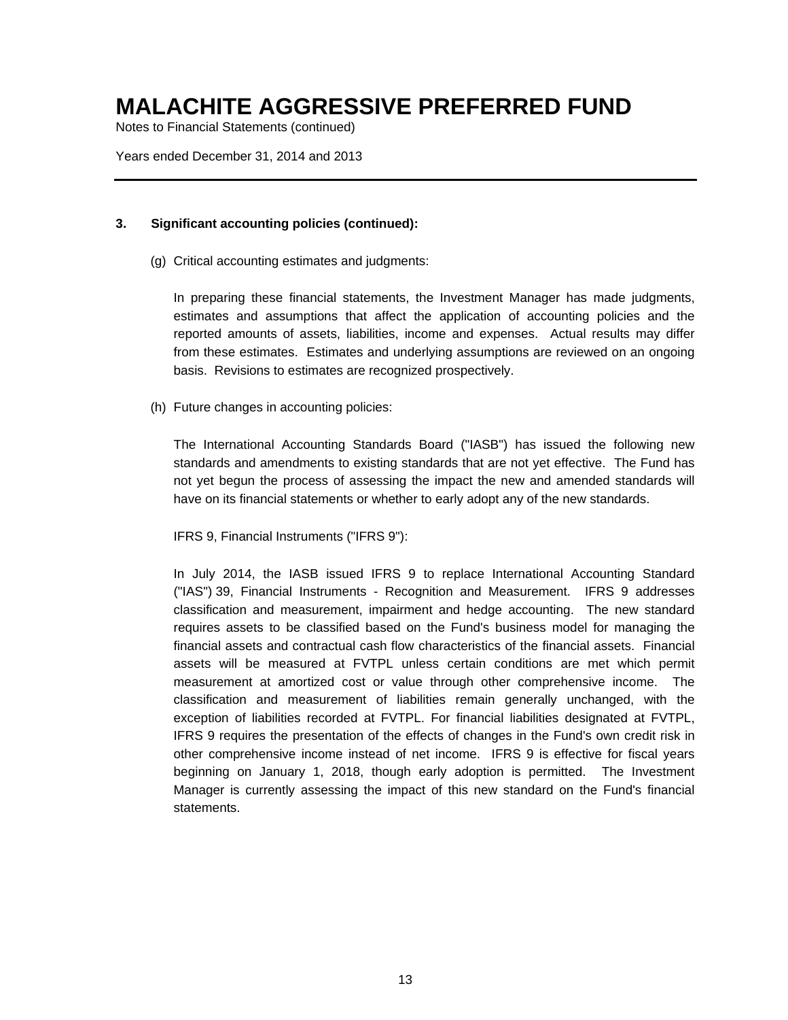Notes to Financial Statements (continued)

Years ended December 31, 2014 and 2013

### **3. Significant accounting policies (continued):**

(g) Critical accounting estimates and judgments:

In preparing these financial statements, the Investment Manager has made judgments, estimates and assumptions that affect the application of accounting policies and the reported amounts of assets, liabilities, income and expenses. Actual results may differ from these estimates. Estimates and underlying assumptions are reviewed on an ongoing basis. Revisions to estimates are recognized prospectively.

(h) Future changes in accounting policies:

The International Accounting Standards Board ("IASB") has issued the following new standards and amendments to existing standards that are not yet effective. The Fund has not yet begun the process of assessing the impact the new and amended standards will have on its financial statements or whether to early adopt any of the new standards.

IFRS 9, Financial Instruments ("IFRS 9"):

In July 2014, the IASB issued IFRS 9 to replace International Accounting Standard ("IAS") 39, Financial Instruments - Recognition and Measurement. IFRS 9 addresses classification and measurement, impairment and hedge accounting. The new standard requires assets to be classified based on the Fund's business model for managing the financial assets and contractual cash flow characteristics of the financial assets. Financial assets will be measured at FVTPL unless certain conditions are met which permit measurement at amortized cost or value through other comprehensive income. The classification and measurement of liabilities remain generally unchanged, with the exception of liabilities recorded at FVTPL. For financial liabilities designated at FVTPL, IFRS 9 requires the presentation of the effects of changes in the Fund's own credit risk in other comprehensive income instead of net income. IFRS 9 is effective for fiscal years beginning on January 1, 2018, though early adoption is permitted. The Investment Manager is currently assessing the impact of this new standard on the Fund's financial statements.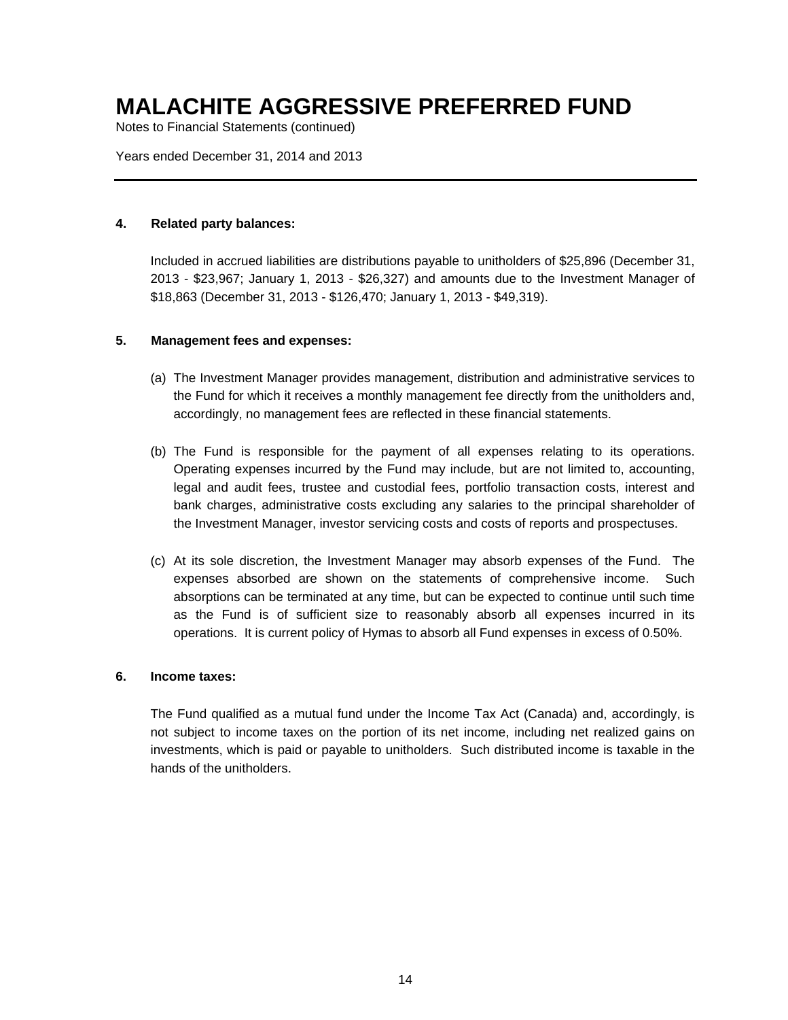Notes to Financial Statements (continued)

Years ended December 31, 2014 and 2013

#### **4. Related party balances:**

Included in accrued liabilities are distributions payable to unitholders of \$25,896 (December 31, 2013 - \$23,967; January 1, 2013 - \$26,327) and amounts due to the Investment Manager of \$18,863 (December 31, 2013 - \$126,470; January 1, 2013 - \$49,319).

### **5. Management fees and expenses:**

- (a) The Investment Manager provides management, distribution and administrative services to the Fund for which it receives a monthly management fee directly from the unitholders and, accordingly, no management fees are reflected in these financial statements.
- (b) The Fund is responsible for the payment of all expenses relating to its operations. Operating expenses incurred by the Fund may include, but are not limited to, accounting, legal and audit fees, trustee and custodial fees, portfolio transaction costs, interest and bank charges, administrative costs excluding any salaries to the principal shareholder of the Investment Manager, investor servicing costs and costs of reports and prospectuses.
- (c) At its sole discretion, the Investment Manager may absorb expenses of the Fund. The expenses absorbed are shown on the statements of comprehensive income. Such absorptions can be terminated at any time, but can be expected to continue until such time as the Fund is of sufficient size to reasonably absorb all expenses incurred in its operations. It is current policy of Hymas to absorb all Fund expenses in excess of 0.50%.

#### **6. Income taxes:**

The Fund qualified as a mutual fund under the Income Tax Act (Canada) and, accordingly, is not subject to income taxes on the portion of its net income, including net realized gains on investments, which is paid or payable to unitholders. Such distributed income is taxable in the hands of the unitholders.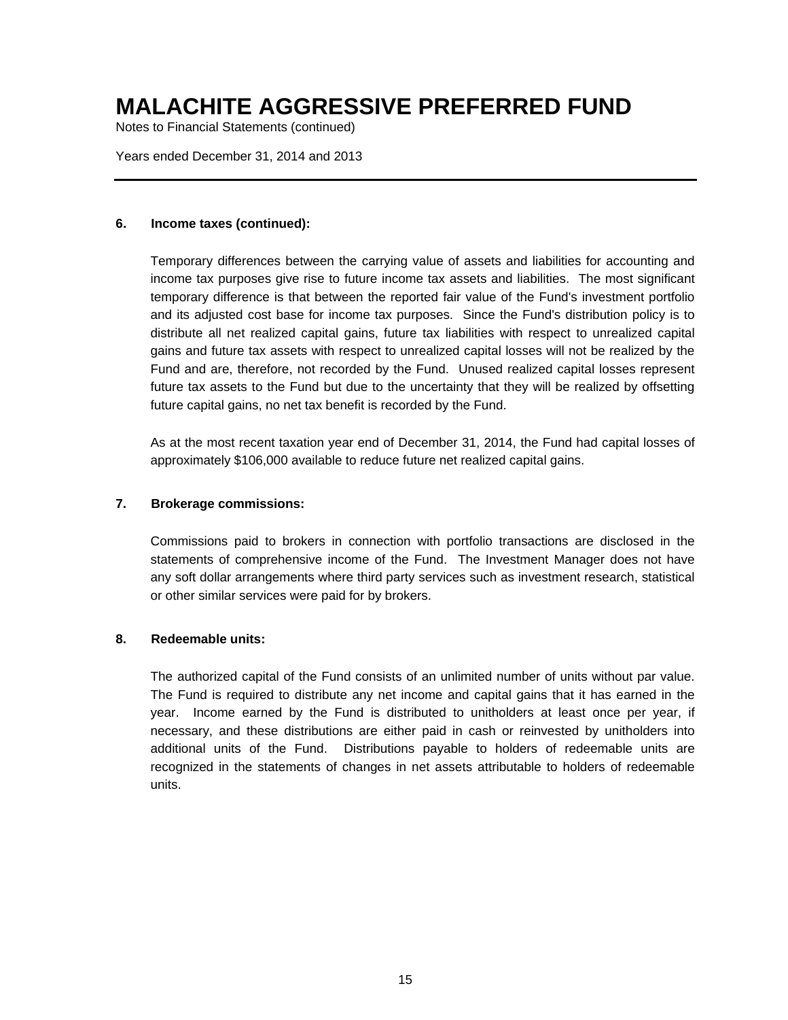Notes to Financial Statements (continued)

Years ended December 31, 2014 and 2013

#### **6. Income taxes (continued):**

Temporary differences between the carrying value of assets and liabilities for accounting and income tax purposes give rise to future income tax assets and liabilities. The most significant temporary difference is that between the reported fair value of the Fund's investment portfolio and its adjusted cost base for income tax purposes. Since the Fund's distribution policy is to distribute all net realized capital gains, future tax liabilities with respect to unrealized capital gains and future tax assets with respect to unrealized capital losses will not be realized by the Fund and are, therefore, not recorded by the Fund. Unused realized capital losses represent future tax assets to the Fund but due to the uncertainty that they will be realized by offsetting future capital gains, no net tax benefit is recorded by the Fund.

As at the most recent taxation year end of December 31, 2014, the Fund had capital losses of approximately \$106,000 available to reduce future net realized capital gains.

### **7. Brokerage commissions:**

Commissions paid to brokers in connection with portfolio transactions are disclosed in the statements of comprehensive income of the Fund. The Investment Manager does not have any soft dollar arrangements where third party services such as investment research, statistical or other similar services were paid for by brokers.

#### **8. Redeemable units:**

The authorized capital of the Fund consists of an unlimited number of units without par value. The Fund is required to distribute any net income and capital gains that it has earned in the year. Income earned by the Fund is distributed to unitholders at least once per year, if necessary, and these distributions are either paid in cash or reinvested by unitholders into additional units of the Fund. Distributions payable to holders of redeemable units are recognized in the statements of changes in net assets attributable to holders of redeemable units.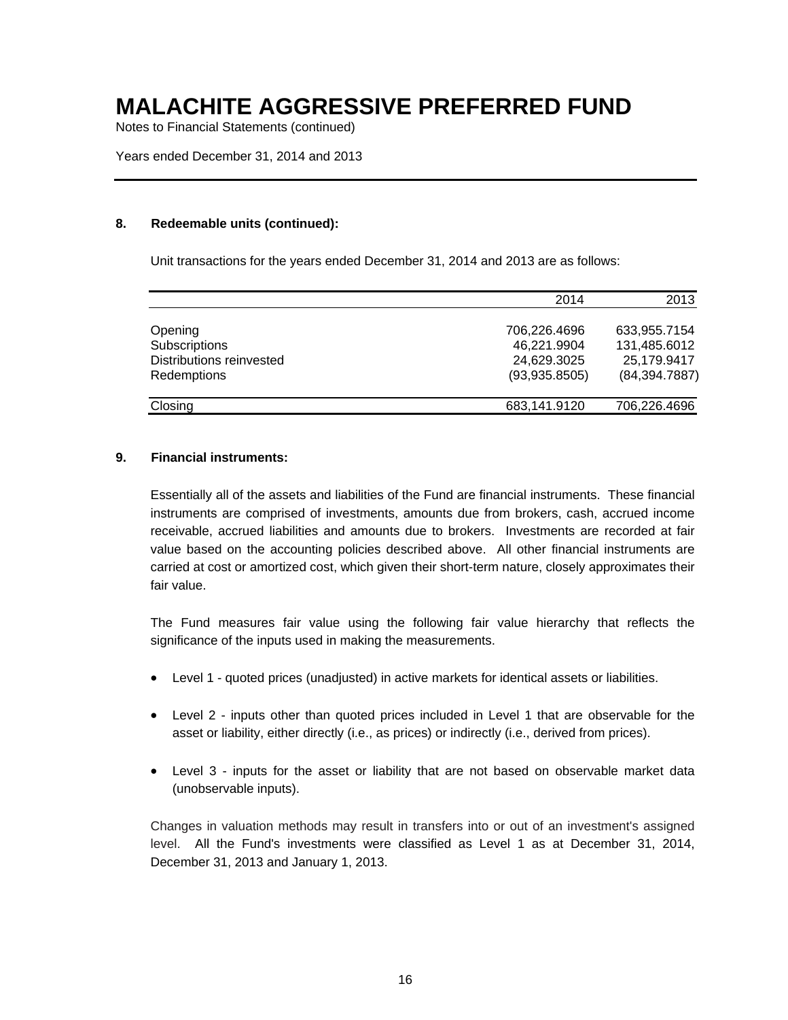Notes to Financial Statements (continued)

#### Years ended December 31, 2014 and 2013

#### **8. Redeemable units (continued):**

Unit transactions for the years ended December 31, 2014 and 2013 are as follows:

|                          | 2014          | 2013           |
|--------------------------|---------------|----------------|
|                          |               |                |
| Opening                  | 706,226.4696  | 633,955.7154   |
| Subscriptions            | 46,221.9904   | 131,485.6012   |
| Distributions reinvested | 24,629.3025   | 25,179.9417    |
| Redemptions              | (93,935.8505) | (84, 394.7887) |
| Closing                  | 683,141.9120  | 706,226.4696   |

#### **9. Financial instruments:**

Essentially all of the assets and liabilities of the Fund are financial instruments. These financial instruments are comprised of investments, amounts due from brokers, cash, accrued income receivable, accrued liabilities and amounts due to brokers. Investments are recorded at fair value based on the accounting policies described above. All other financial instruments are carried at cost or amortized cost, which given their short-term nature, closely approximates their fair value.

The Fund measures fair value using the following fair value hierarchy that reflects the significance of the inputs used in making the measurements.

- Level 1 quoted prices (unadjusted) in active markets for identical assets or liabilities.
- Level 2 inputs other than quoted prices included in Level 1 that are observable for the asset or liability, either directly (i.e., as prices) or indirectly (i.e., derived from prices).
- Level 3 inputs for the asset or liability that are not based on observable market data (unobservable inputs).

Changes in valuation methods may result in transfers into or out of an investment's assigned level. All the Fund's investments were classified as Level 1 as at December 31, 2014, December 31, 2013 and January 1, 2013.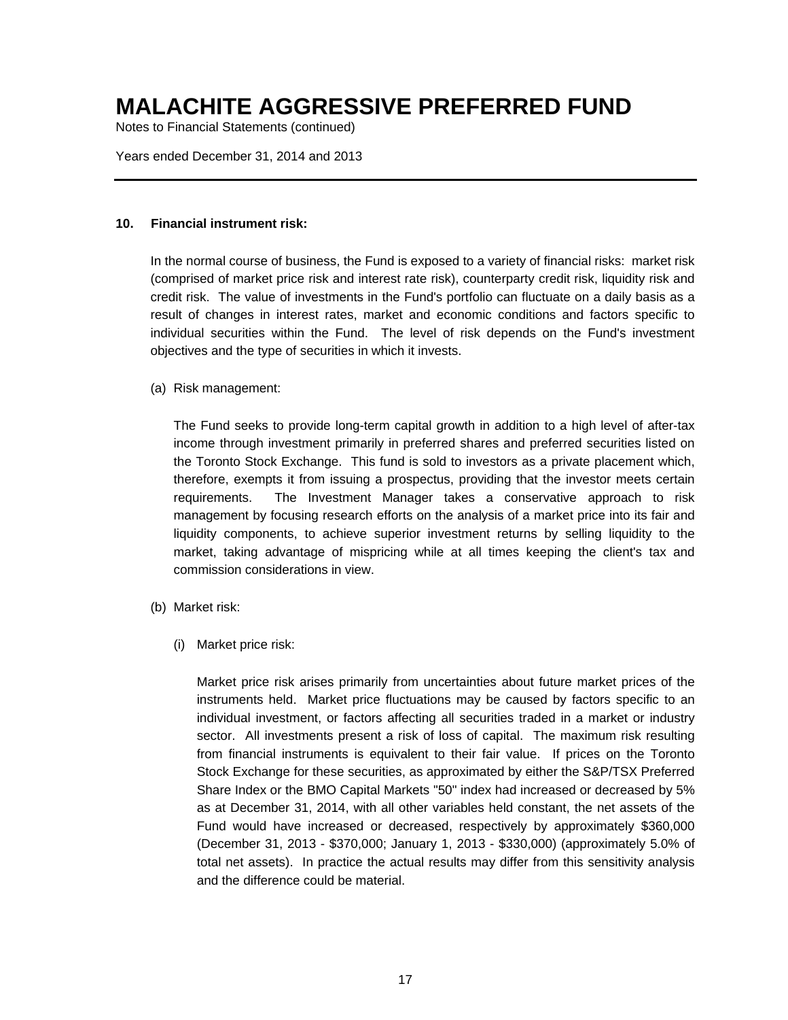Notes to Financial Statements (continued)

### Years ended December 31, 2014 and 2013

#### **10. Financial instrument risk:**

In the normal course of business, the Fund is exposed to a variety of financial risks: market risk (comprised of market price risk and interest rate risk), counterparty credit risk, liquidity risk and credit risk. The value of investments in the Fund's portfolio can fluctuate on a daily basis as a result of changes in interest rates, market and economic conditions and factors specific to individual securities within the Fund. The level of risk depends on the Fund's investment objectives and the type of securities in which it invests.

(a) Risk management:

The Fund seeks to provide long-term capital growth in addition to a high level of after-tax income through investment primarily in preferred shares and preferred securities listed on the Toronto Stock Exchange. This fund is sold to investors as a private placement which, therefore, exempts it from issuing a prospectus, providing that the investor meets certain requirements. The Investment Manager takes a conservative approach to risk management by focusing research efforts on the analysis of a market price into its fair and liquidity components, to achieve superior investment returns by selling liquidity to the market, taking advantage of mispricing while at all times keeping the client's tax and commission considerations in view.

- (b) Market risk:
	- (i) Market price risk:

Market price risk arises primarily from uncertainties about future market prices of the instruments held. Market price fluctuations may be caused by factors specific to an individual investment, or factors affecting all securities traded in a market or industry sector. All investments present a risk of loss of capital. The maximum risk resulting from financial instruments is equivalent to their fair value. If prices on the Toronto Stock Exchange for these securities, as approximated by either the S&P/TSX Preferred Share Index or the BMO Capital Markets "50" index had increased or decreased by 5% as at December 31, 2014, with all other variables held constant, the net assets of the Fund would have increased or decreased, respectively by approximately \$360,000 (December 31, 2013 - \$370,000; January 1, 2013 - \$330,000) (approximately 5.0% of total net assets). In practice the actual results may differ from this sensitivity analysis and the difference could be material.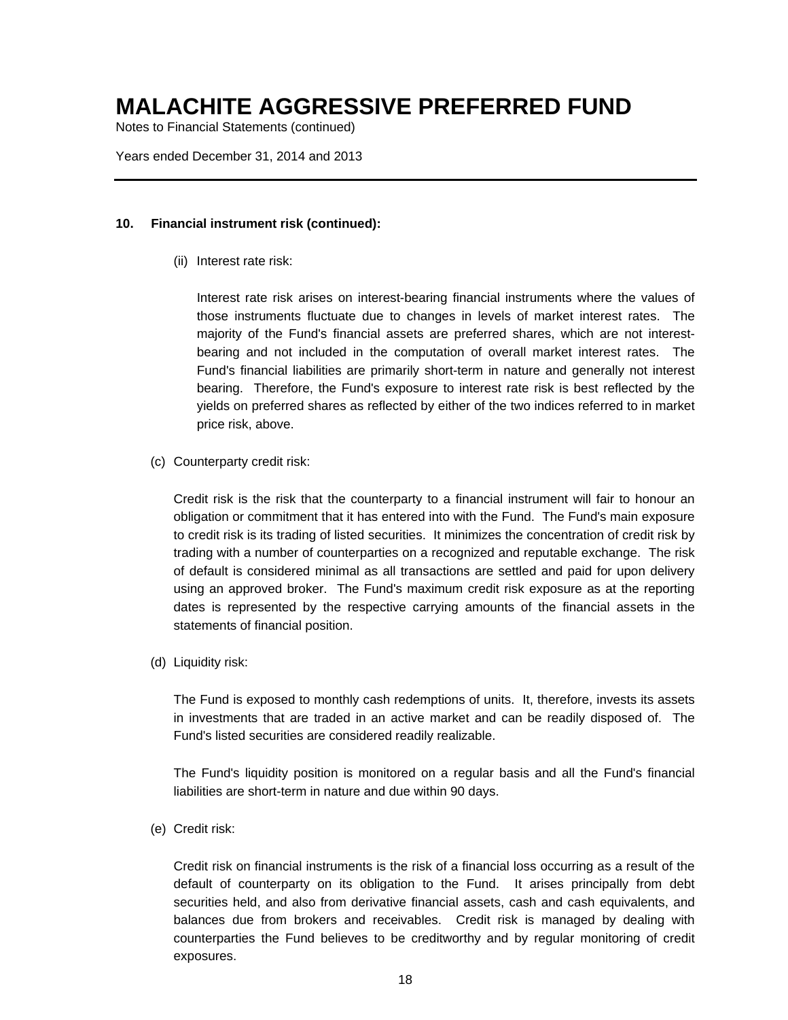Notes to Financial Statements (continued)

Years ended December 31, 2014 and 2013

#### **10. Financial instrument risk (continued):**

(ii) Interest rate risk:

Interest rate risk arises on interest-bearing financial instruments where the values of those instruments fluctuate due to changes in levels of market interest rates. The majority of the Fund's financial assets are preferred shares, which are not interestbearing and not included in the computation of overall market interest rates. The Fund's financial liabilities are primarily short-term in nature and generally not interest bearing. Therefore, the Fund's exposure to interest rate risk is best reflected by the yields on preferred shares as reflected by either of the two indices referred to in market price risk, above.

(c) Counterparty credit risk:

Credit risk is the risk that the counterparty to a financial instrument will fair to honour an obligation or commitment that it has entered into with the Fund. The Fund's main exposure to credit risk is its trading of listed securities. It minimizes the concentration of credit risk by trading with a number of counterparties on a recognized and reputable exchange. The risk of default is considered minimal as all transactions are settled and paid for upon delivery using an approved broker. The Fund's maximum credit risk exposure as at the reporting dates is represented by the respective carrying amounts of the financial assets in the statements of financial position.

(d) Liquidity risk:

The Fund is exposed to monthly cash redemptions of units. It, therefore, invests its assets in investments that are traded in an active market and can be readily disposed of. The Fund's listed securities are considered readily realizable.

The Fund's liquidity position is monitored on a regular basis and all the Fund's financial liabilities are short-term in nature and due within 90 days.

(e) Credit risk:

Credit risk on financial instruments is the risk of a financial loss occurring as a result of the default of counterparty on its obligation to the Fund. It arises principally from debt securities held, and also from derivative financial assets, cash and cash equivalents, and balances due from brokers and receivables. Credit risk is managed by dealing with counterparties the Fund believes to be creditworthy and by regular monitoring of credit exposures.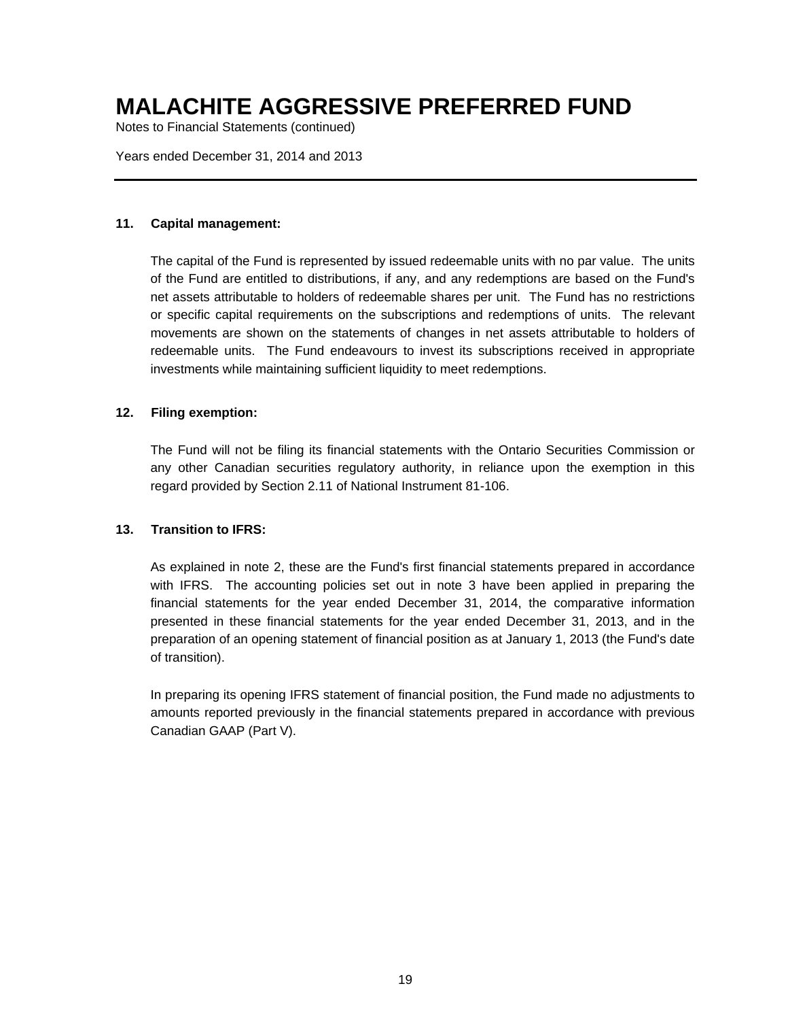Notes to Financial Statements (continued)

Years ended December 31, 2014 and 2013

#### **11. Capital management:**

The capital of the Fund is represented by issued redeemable units with no par value. The units of the Fund are entitled to distributions, if any, and any redemptions are based on the Fund's net assets attributable to holders of redeemable shares per unit. The Fund has no restrictions or specific capital requirements on the subscriptions and redemptions of units. The relevant movements are shown on the statements of changes in net assets attributable to holders of redeemable units. The Fund endeavours to invest its subscriptions received in appropriate investments while maintaining sufficient liquidity to meet redemptions.

#### **12. Filing exemption:**

The Fund will not be filing its financial statements with the Ontario Securities Commission or any other Canadian securities regulatory authority, in reliance upon the exemption in this regard provided by Section 2.11 of National Instrument 81-106.

#### **13. Transition to IFRS:**

As explained in note 2, these are the Fund's first financial statements prepared in accordance with IFRS. The accounting policies set out in note 3 have been applied in preparing the financial statements for the year ended December 31, 2014, the comparative information presented in these financial statements for the year ended December 31, 2013, and in the preparation of an opening statement of financial position as at January 1, 2013 (the Fund's date of transition).

In preparing its opening IFRS statement of financial position, the Fund made no adjustments to amounts reported previously in the financial statements prepared in accordance with previous Canadian GAAP (Part V).